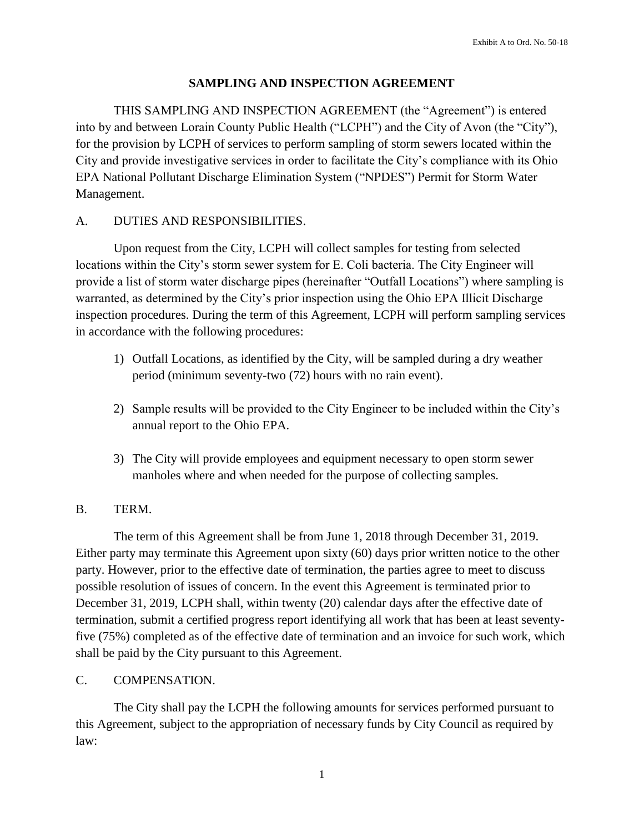### **SAMPLING AND INSPECTION AGREEMENT**

THIS SAMPLING AND INSPECTION AGREEMENT (the "Agreement") is entered into by and between Lorain County Public Health ("LCPH") and the City of Avon (the "City"), for the provision by LCPH of services to perform sampling of storm sewers located within the City and provide investigative services in order to facilitate the City's compliance with its Ohio EPA National Pollutant Discharge Elimination System ("NPDES") Permit for Storm Water Management.

# A. DUTIES AND RESPONSIBILITIES.

Upon request from the City, LCPH will collect samples for testing from selected locations within the City's storm sewer system for E. Coli bacteria. The City Engineer will provide a list of storm water discharge pipes (hereinafter "Outfall Locations") where sampling is warranted, as determined by the City's prior inspection using the Ohio EPA Illicit Discharge inspection procedures. During the term of this Agreement, LCPH will perform sampling services in accordance with the following procedures:

- 1) Outfall Locations, as identified by the City, will be sampled during a dry weather period (minimum seventy-two (72) hours with no rain event).
- 2) Sample results will be provided to the City Engineer to be included within the City's annual report to the Ohio EPA.
- 3) The City will provide employees and equipment necessary to open storm sewer manholes where and when needed for the purpose of collecting samples.

# B. TERM.

The term of this Agreement shall be from June 1, 2018 through December 31, 2019. Either party may terminate this Agreement upon sixty (60) days prior written notice to the other party. However, prior to the effective date of termination, the parties agree to meet to discuss possible resolution of issues of concern. In the event this Agreement is terminated prior to December 31, 2019, LCPH shall, within twenty (20) calendar days after the effective date of termination, submit a certified progress report identifying all work that has been at least seventyfive (75%) completed as of the effective date of termination and an invoice for such work, which shall be paid by the City pursuant to this Agreement.

# C. COMPENSATION.

The City shall pay the LCPH the following amounts for services performed pursuant to this Agreement, subject to the appropriation of necessary funds by City Council as required by law:

1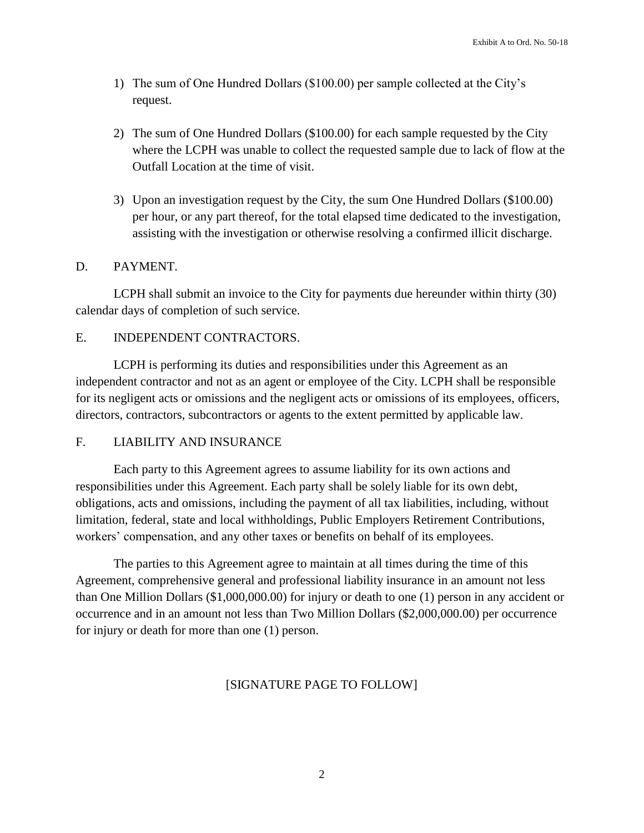- 1) The sum of One Hundred Dollars (\$100.00) per sample collected at the City's request.
- 2) The sum of One Hundred Dollars (\$100.00) for each sample requested by the City where the LCPH was unable to collect the requested sample due to lack of flow at the Outfall Location at the time of visit.
- 3) Upon an investigation request by the City, the sum One Hundred Dollars (\$100.00) per hour, or any part thereof, for the total elapsed time dedicated to the investigation, assisting with the investigation or otherwise resolving a confirmed illicit discharge.

#### D. PAYMENT.

LCPH shall submit an invoice to the City for payments due hereunder within thirty (30) calendar days of completion of such service.

### E. INDEPENDENT CONTRACTORS.

LCPH is performing its duties and responsibilities under this Agreement as an independent contractor and not as an agent or employee of the City. LCPH shall be responsible for its negligent acts or omissions and the negligent acts or omissions of its employees, officers, directors, contractors, subcontractors or agents to the extent permitted by applicable law.

#### F. LIABILITY AND INSURANCE

Each party to this Agreement agrees to assume liability for its own actions and responsibilities under this Agreement. Each party shall be solely liable for its own debt, obligations, acts and omissions, including the payment of all tax liabilities, including, without limitation, federal, state and local withholdings, Public Employers Retirement Contributions, workers' compensation, and any other taxes or benefits on behalf of its employees.

The parties to this Agreement agree to maintain at all times during the time of this Agreement, comprehensive general and professional liability insurance in an amount not less than One Million Dollars (\$1,000,000.00) for injury or death to one (1) person in any accident or occurrence and in an amount not less than Two Million Dollars (\$2,000,000.00) per occurrence for injury or death for more than one (1) person.

# [SIGNATURE PAGE TO FOLLOW]